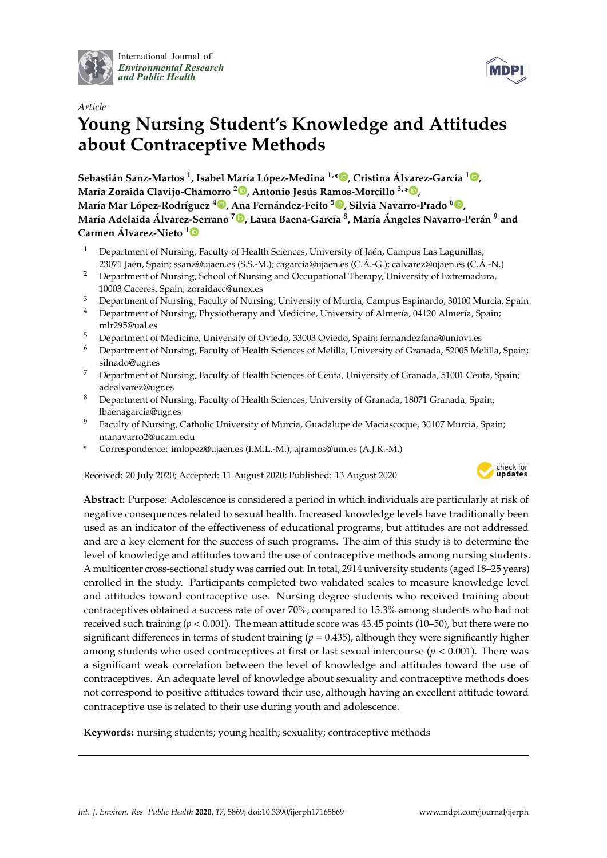

International Journal of *[Environmental Research](http://www.mdpi.com/journal/ijerph) and Public Health*



# *Article* **Young Nursing Student's Knowledge and Attitudes about Contraceptive Methods**

**Sebastián Sanz-Martos <sup>1</sup> , Isabel María López-Medina 1,[\\*](https://orcid.org/0000-0002-3437-9229) , Cristina Álvarez-García 1 [,](https://orcid.org/0000-0003-1381-7207) María Zoraida Clavijo-Chamorro <sup>2</sup> [,](https://orcid.org/0000-0002-8603-8370) Antonio Jesús Ramos-Morcillo 3,\* [,](https://orcid.org/0000-0002-3490-3326) María Mar López-Rodríguez <sup>4</sup> [,](https://orcid.org/0000-0001-8810-520X) Ana Fernández-Feito <sup>5</sup> [,](https://orcid.org/0000-0002-5718-0570) Silvia Navarro-Prado [6](https://orcid.org/0000-0002-9713-2864) ,** María Adelaida Álvarez-Serrano <sup>7</sup>®[,](https://orcid.org/0000-0001-6779-806X) Laura Baena-García <sup>8</sup>, María Ángeles Navarro-Perán <sup>9</sup> and **Carmen Álvarez-Nieto [1](https://orcid.org/0000-0002-0913-7893)**

- <sup>1</sup> Department of Nursing, Faculty of Health Sciences, University of Jaén, Campus Las Lagunillas, 23071 Jaén, Spain; ssanz@ujaen.es (S.S.-M.); cagarcia@ujaen.es (C.Á.-G.); calvarez@ujaen.es (C.Á.-N.)
- <sup>2</sup> Department of Nursing, School of Nursing and Occupational Therapy, University of Extremadura, 10003 Caceres, Spain; zoraidacc@unex.es
- <sup>3</sup> Department of Nursing, Faculty of Nursing, University of Murcia, Campus Espinardo, 30100 Murcia, Spain
- <sup>4</sup> Department of Nursing, Physiotherapy and Medicine, University of Almería, 04120 Almería, Spain; mlr295@ual.es
- <sup>5</sup> Department of Medicine, University of Oviedo, 33003 Oviedo, Spain; fernandezfana@uniovi.es
- <sup>6</sup> Department of Nursing, Faculty of Health Sciences of Melilla, University of Granada, 52005 Melilla, Spain; silnado@ugr.es
- <sup>7</sup> Department of Nursing, Faculty of Health Sciences of Ceuta, University of Granada, 51001 Ceuta, Spain; adealvarez@ugr.es
- <sup>8</sup> Department of Nursing, Faculty of Health Sciences, University of Granada, 18071 Granada, Spain; lbaenagarcia@ugr.es
- <sup>9</sup> Faculty of Nursing, Catholic University of Murcia, Guadalupe de Maciascoque, 30107 Murcia, Spain; manavarro2@ucam.edu
- **\*** Correspondence: imlopez@ujaen.es (I.M.L.-M.); ajramos@um.es (A.J.R.-M.)

Received: 20 July 2020; Accepted: 11 August 2020; Published: 13 August 2020



**Abstract:** Purpose: Adolescence is considered a period in which individuals are particularly at risk of negative consequences related to sexual health. Increased knowledge levels have traditionally been used as an indicator of the effectiveness of educational programs, but attitudes are not addressed and are a key element for the success of such programs. The aim of this study is to determine the level of knowledge and attitudes toward the use of contraceptive methods among nursing students. A multicenter cross-sectional study was carried out. In total, 2914 university students (aged 18–25 years) enrolled in the study. Participants completed two validated scales to measure knowledge level and attitudes toward contraceptive use. Nursing degree students who received training about contraceptives obtained a success rate of over 70%, compared to 15.3% among students who had not received such training  $(p < 0.001)$ . The mean attitude score was 43.45 points (10–50), but there were no significant differences in terms of student training ( $p = 0.435$ ), although they were significantly higher among students who used contraceptives at first or last sexual intercourse ( $p < 0.001$ ). There was a significant weak correlation between the level of knowledge and attitudes toward the use of contraceptives. An adequate level of knowledge about sexuality and contraceptive methods does not correspond to positive attitudes toward their use, although having an excellent attitude toward contraceptive use is related to their use during youth and adolescence.

**Keywords:** nursing students; young health; sexuality; contraceptive methods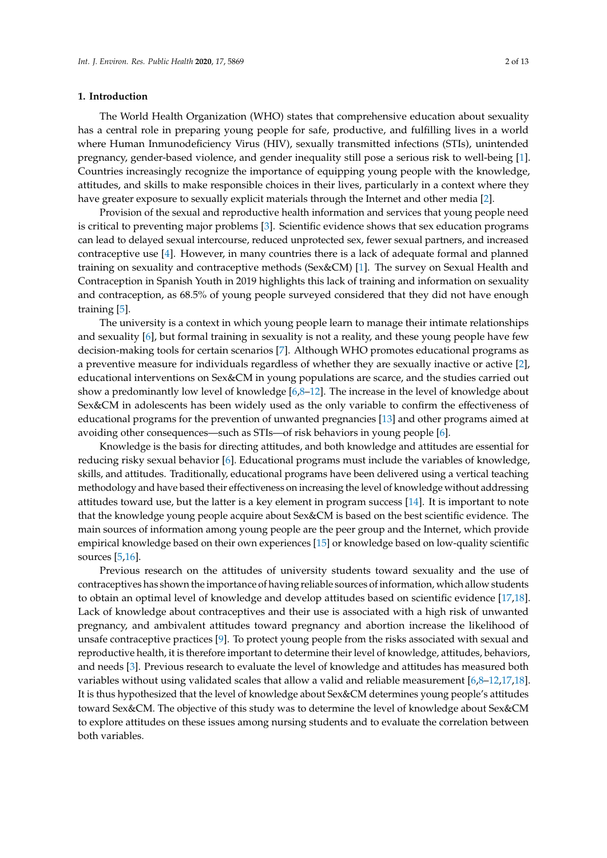# **1. Introduction**

The World Health Organization (WHO) states that comprehensive education about sexuality has a central role in preparing young people for safe, productive, and fulfilling lives in a world where Human Inmunodeficiency Virus (HIV), sexually transmitted infections (STIs), unintended pregnancy, gender-based violence, and gender inequality still pose a serious risk to well-being [\[1\]](#page-11-0). Countries increasingly recognize the importance of equipping young people with the knowledge, attitudes, and skills to make responsible choices in their lives, particularly in a context where they have greater exposure to sexually explicit materials through the Internet and other media [\[2\]](#page-11-1).

Provision of the sexual and reproductive health information and services that young people need is critical to preventing major problems [\[3\]](#page-11-2). Scientific evidence shows that sex education programs can lead to delayed sexual intercourse, reduced unprotected sex, fewer sexual partners, and increased contraceptive use [\[4\]](#page-11-3). However, in many countries there is a lack of adequate formal and planned training on sexuality and contraceptive methods (Sex&CM) [\[1\]](#page-11-0). The survey on Sexual Health and Contraception in Spanish Youth in 2019 highlights this lack of training and information on sexuality and contraception, as 68.5% of young people surveyed considered that they did not have enough training [\[5\]](#page-11-4).

The university is a context in which young people learn to manage their intimate relationships and sexuality [\[6\]](#page-11-5), but formal training in sexuality is not a reality, and these young people have few decision-making tools for certain scenarios [\[7\]](#page-11-6). Although WHO promotes educational programs as a preventive measure for individuals regardless of whether they are sexually inactive or active [\[2\]](#page-11-1), educational interventions on Sex&CM in young populations are scarce, and the studies carried out show a predominantly low level of knowledge [\[6,](#page-11-5)[8](#page-11-7)[–12\]](#page-11-8). The increase in the level of knowledge about Sex&CM in adolescents has been widely used as the only variable to confirm the effectiveness of educational programs for the prevention of unwanted pregnancies [\[13\]](#page-11-9) and other programs aimed at avoiding other consequences—such as STIs—of risk behaviors in young people [\[6\]](#page-11-5).

Knowledge is the basis for directing attitudes, and both knowledge and attitudes are essential for reducing risky sexual behavior [\[6\]](#page-11-5). Educational programs must include the variables of knowledge, skills, and attitudes. Traditionally, educational programs have been delivered using a vertical teaching methodology and have based their effectiveness on increasing the level of knowledge without addressing attitudes toward use, but the latter is a key element in program success [\[14\]](#page-11-10). It is important to note that the knowledge young people acquire about Sex&CM is based on the best scientific evidence. The main sources of information among young people are the peer group and the Internet, which provide empirical knowledge based on their own experiences [\[15\]](#page-11-11) or knowledge based on low-quality scientific sources [\[5,](#page-11-4)[16\]](#page-11-12).

Previous research on the attitudes of university students toward sexuality and the use of contraceptives has shown the importance of having reliable sources of information, which allow students to obtain an optimal level of knowledge and develop attitudes based on scientific evidence [\[17,](#page-11-13)[18\]](#page-11-14). Lack of knowledge about contraceptives and their use is associated with a high risk of unwanted pregnancy, and ambivalent attitudes toward pregnancy and abortion increase the likelihood of unsafe contraceptive practices [\[9\]](#page-11-15). To protect young people from the risks associated with sexual and reproductive health, it is therefore important to determine their level of knowledge, attitudes, behaviors, and needs [\[3\]](#page-11-2). Previous research to evaluate the level of knowledge and attitudes has measured both variables without using validated scales that allow a valid and reliable measurement [\[6,](#page-11-5)[8–](#page-11-7)[12,](#page-11-8)[17,](#page-11-13)[18\]](#page-11-14). It is thus hypothesized that the level of knowledge about Sex&CM determines young people's attitudes toward Sex&CM. The objective of this study was to determine the level of knowledge about Sex&CM to explore attitudes on these issues among nursing students and to evaluate the correlation between both variables.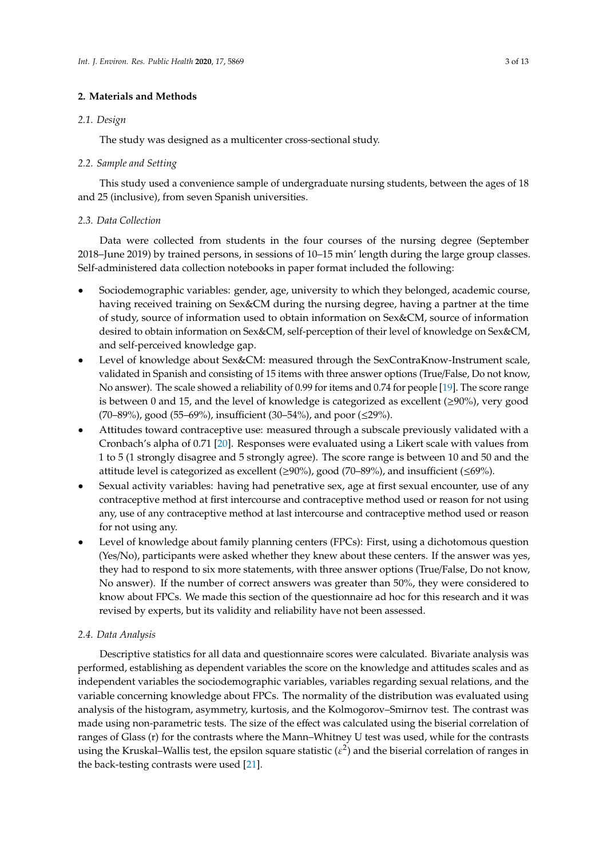# **2. Materials and Methods**

# *2.1. Design*

The study was designed as a multicenter cross-sectional study.

# *2.2. Sample and Setting*

This study used a convenience sample of undergraduate nursing students, between the ages of 18 and 25 (inclusive), from seven Spanish universities.

# *2.3. Data Collection*

Data were collected from students in the four courses of the nursing degree (September 2018–June 2019) by trained persons, in sessions of 10–15 min' length during the large group classes. Self-administered data collection notebooks in paper format included the following:

- Sociodemographic variables: gender, age, university to which they belonged, academic course, having received training on Sex&CM during the nursing degree, having a partner at the time of study, source of information used to obtain information on Sex&CM, source of information desired to obtain information on Sex&CM, self-perception of their level of knowledge on Sex&CM, and self-perceived knowledge gap.
- Level of knowledge about Sex&CM: measured through the SexContraKnow-Instrument scale, validated in Spanish and consisting of 15 items with three answer options (True/False, Do not know, No answer). The scale showed a reliability of 0.99 for items and 0.74 for people [\[19\]](#page-11-16). The score range is between 0 and 15, and the level of knowledge is categorized as excellent ( $\geq$ 90%), very good (70–89%), good (55–69%), insufficient (30–54%), and poor (≤29%).
- Attitudes toward contraceptive use: measured through a subscale previously validated with a Cronbach's alpha of 0.71 [\[20\]](#page-11-17). Responses were evaluated using a Likert scale with values from 1 to 5 (1 strongly disagree and 5 strongly agree). The score range is between 10 and 50 and the attitude level is categorized as excellent ( $\geq$ 90%), good (70–89%), and insufficient ( $\leq$ 69%).
- Sexual activity variables: having had penetrative sex, age at first sexual encounter, use of any contraceptive method at first intercourse and contraceptive method used or reason for not using any, use of any contraceptive method at last intercourse and contraceptive method used or reason for not using any.
- Level of knowledge about family planning centers (FPCs): First, using a dichotomous question (Yes/No), participants were asked whether they knew about these centers. If the answer was yes, they had to respond to six more statements, with three answer options (True/False, Do not know, No answer). If the number of correct answers was greater than 50%, they were considered to know about FPCs. We made this section of the questionnaire ad hoc for this research and it was revised by experts, but its validity and reliability have not been assessed.

### *2.4. Data Analysis*

Descriptive statistics for all data and questionnaire scores were calculated. Bivariate analysis was performed, establishing as dependent variables the score on the knowledge and attitudes scales and as independent variables the sociodemographic variables, variables regarding sexual relations, and the variable concerning knowledge about FPCs. The normality of the distribution was evaluated using analysis of the histogram, asymmetry, kurtosis, and the Kolmogorov–Smirnov test. The contrast was made using non-parametric tests. The size of the effect was calculated using the biserial correlation of ranges of Glass (r) for the contrasts where the Mann–Whitney U test was used, while for the contrasts using the Kruskal–Wallis test, the epsilon square statistic ( $\varepsilon^2$ ) and the biserial correlation of ranges in the back-testing contrasts were used [\[21\]](#page-11-18).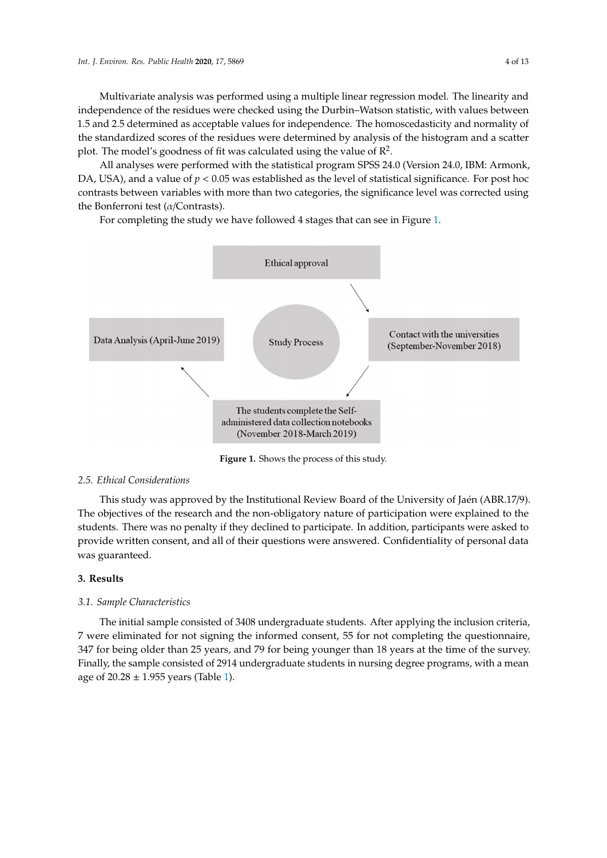Multivariate analysis was performed using a multiple linear regression model. The linearity and independence of the residues were checked using the Durbin–Watson statistic, with values between 1.5 and 2.5 determined as acceptable values for independence. The homoscedasticity and normality of the standardized scores of the residues were determined by analysis of the histogram and a scatter plot. The model's goodness of fit was calculated using the value of  $\mathbb{R}^2$ .

All analyses were performed with the statistical program SPSS 24.0 (Version 24.0, IBM: Armonk, DA, USA), and a value of  $p < 0.05$  was established as the level of statistical significance. For post hoc contrasts between variables with more than two categories, the significance level was corrected using the Bonferroni test (*α*/Contrasts). the Bonferroni test ( $\alpha$ /Contrasts).  $\frac{1}{2}$  completing the study we have followed  $\frac{1}{2}$  study in  $\frac{1}{2}$  states that can see in Figure 1.1.  $\frac{1}{2}$  study in Figure 1.1.  $\frac{1}{2}$  study in Figure 1.1.  $\frac{1}{2}$  study in Figure 1.1.  $\frac{1}{2}$  study

For completing the study we have followed 4 stages that can see in Figure [1.](#page-3-0)

<span id="page-3-0"></span>

**Figure 1.** Shows the process of this study.

# *2.5. Ethical Considerations*

This study was approved by the Institutional Review Board of the University of Jaén (ABR.17/9). *2.5. Ethical Considerations*  students. There was no penalty if they declined to participate. In addition, participants were asked to  $T_{\text{inerturbed}}$  $T_{\rm tot}$  objectives of the non-obligatory nature of participation were explained to the non-obligatory nature explained to the non-obligatory nature of participation were explained to the non-obligatory nature of  $T_{\rm tot}$ The objectives of the research and the non-obligatory nature of participation were explained to the provide written consent, and all of their questions were answered. Confidentiality of personal data was guaranteed.

#### $s.$  Results. There was no penalty if they decline to participate. In addition, participants were asked to participate. In addition,  $p$ **3. Results**

# 3.1. Sample Characteristics

7 were eliminated for not signing the informed consent, 55 for not completing the questionnaire, Finally, the sample consisted of 2914 undergraduate students in nursing degree programs, with a mean age of  $20.28 \pm 1.955$  years (Table 1). The initial sample consisted of 3408 undergraduate students. After applying the inclusion criteria, 347 for being older than 25 years, and 79 for being younger than 18 years at the time of the survey.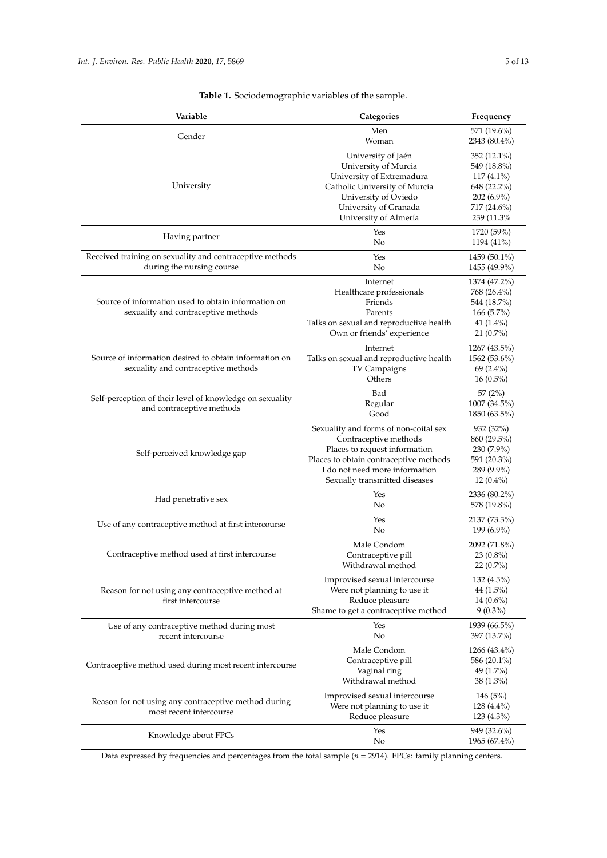<span id="page-4-0"></span>

| Variable                                                                                      | Categories                                                                                                                                                                                                   | Frequency                                                                              |
|-----------------------------------------------------------------------------------------------|--------------------------------------------------------------------------------------------------------------------------------------------------------------------------------------------------------------|----------------------------------------------------------------------------------------|
| Gender                                                                                        | Men<br>Woman                                                                                                                                                                                                 | 571 (19.6%)<br>2343 (80.4%)                                                            |
| University                                                                                    | University of Jaén<br>University of Murcia<br>University of Extremadura<br>Catholic University of Murcia<br>University of Oviedo                                                                             | 352 (12.1%)<br>549 (18.8%)<br>$117(4.1\%)$<br>648 (22.2%)<br>$202(6.9\%)$              |
|                                                                                               | University of Granada<br>University of Almería                                                                                                                                                               | 717 (24.6%)<br>239 (11.3%)                                                             |
| Having partner                                                                                | Yes<br>No                                                                                                                                                                                                    | 1720 (59%)<br>1194 (41%)                                                               |
| Received training on sexuality and contraceptive methods<br>during the nursing course         | Yes<br>No                                                                                                                                                                                                    | 1459 (50.1%)<br>1455 (49.9%)                                                           |
| Source of information used to obtain information on<br>sexuality and contraceptive methods    | Internet<br>Healthcare professionals<br>Friends<br>Parents<br>Talks on sexual and reproductive health<br>Own or friends' experience                                                                          | 1374 (47.2%)<br>768 (26.4%)<br>544 (18.7%)<br>$166(5.7\%)$<br>41 (1.4%)<br>$21(0.7\%)$ |
| Source of information desired to obtain information on<br>sexuality and contraceptive methods | Internet<br>Talks on sexual and reproductive health<br>TV Campaigns<br>Others                                                                                                                                | 1267 (43.5%)<br>1562 (53.6%)<br>$69(2.4\%)$<br>$16(0.5\%)$                             |
| Self-perception of their level of knowledge on sexuality<br>and contraceptive methods         | Bad<br>Regular<br>Good                                                                                                                                                                                       | 57 (2%)<br>1007 (34.5%)<br>1850 (63.5%)                                                |
| Self-perceived knowledge gap                                                                  | Sexuality and forms of non-coital sex<br>Contraceptive methods<br>Places to request information<br>Places to obtain contraceptive methods<br>I do not need more information<br>Sexually transmitted diseases | 932 (32%)<br>860 (29.5%)<br>230 (7.9%)<br>591 (20.3%)<br>289 (9.9%)<br>$12(0.4\%)$     |
| Had penetrative sex                                                                           | Yes<br>No                                                                                                                                                                                                    | 2336 (80.2%)<br>578 (19.8%)                                                            |
| Use of any contraceptive method at first intercourse                                          | Yes<br>No                                                                                                                                                                                                    | 2137 (73.3%)<br>199 (6.9%)                                                             |
| Contraceptive method used at first intercourse                                                | Male Condom<br>Contraceptive pill<br>Withdrawal method                                                                                                                                                       | 2092 (71.8%)<br>$23(0.8\%)$<br>22 (0.7%)                                               |
| Reason for not using any contraceptive method at<br>first intercourse                         | Improvised sexual intercourse<br>Were not planning to use it<br>Reduce pleasure<br>Shame to get a contraceptive method                                                                                       | $132(4.5\%)$<br>44 $(1.5\%)$<br>$14(0.6\%)$<br>$9(0.3\%)$                              |
| Use of any contraceptive method during most<br>recent intercourse                             | Yes<br>No                                                                                                                                                                                                    | 1939 (66.5%)<br>397 (13.7%)                                                            |
| Contraceptive method used during most recent intercourse                                      | Male Condom<br>Contraceptive pill<br>Vaginal ring<br>Withdrawal method                                                                                                                                       | 1266 (43.4%)<br>586 (20.1%)<br>49 (1.7%)<br>$38(1.3\%)$                                |
| Reason for not using any contraceptive method during<br>most recent intercourse               | Improvised sexual intercourse<br>Were not planning to use it<br>Reduce pleasure                                                                                                                              | 146(5%)<br>$128(4.4\%)$<br>123 (4.3%)                                                  |
| Knowledge about FPCs                                                                          | Yes<br>No                                                                                                                                                                                                    | 949 (32.6%)<br>1965 (67.4%)                                                            |

**Table 1.** Sociodemographic variables of the sample.

Data expressed by frequencies and percentages from the total sample (*n* = 2914). FPCs: family planning centers.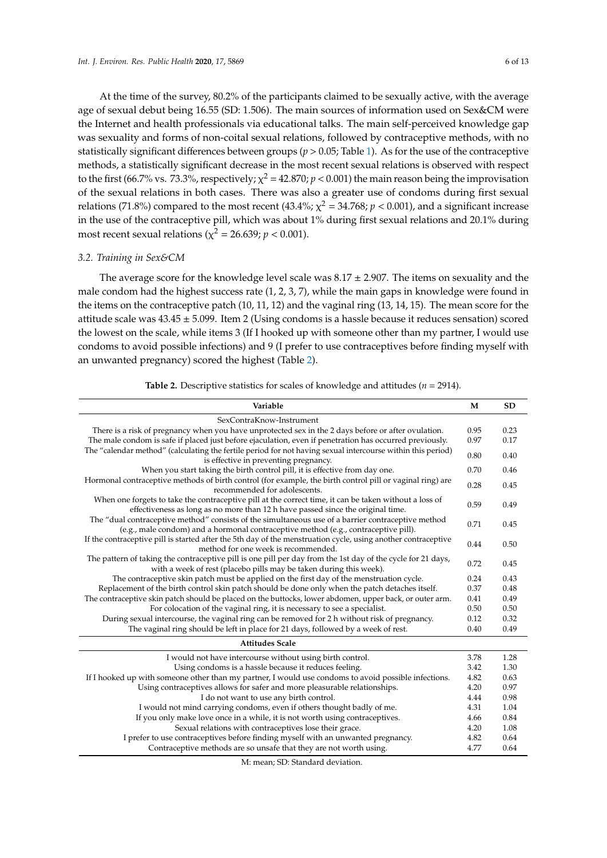At the time of the survey, 80.2% of the participants claimed to be sexually active, with the average age of sexual debut being 16.55 (SD: 1.506). The main sources of information used on Sex&CM were the Internet and health professionals via educational talks. The main self-perceived knowledge gap was sexuality and forms of non-coital sexual relations, followed by contraceptive methods, with no statistically significant differences between groups (*p* > 0.05; Table [1\)](#page-4-0). As for the use of the contraceptive methods, a statistically significant decrease in the most recent sexual relations is observed with respect to the first (66.7% vs. 73.3%, respectively;  $\chi^2$  = 42.870;  $p$  < 0.001) the main reason being the improvisation of the sexual relations in both cases. There was also a greater use of condoms during first sexual relations (71.8%) compared to the most recent (43.4%;  $\chi^2$  = 34.768;  $p$  < 0.001), and a significant increase in the use of the contraceptive pill, which was about 1% during first sexual relations and 20.1% during most recent sexual relations ( $\chi^2$  = 26.639;  $p$  < 0.001).

# *3.2. Training in Sex&CM*

The average score for the knowledge level scale was  $8.17 \pm 2.907$ . The items on sexuality and the male condom had the highest success rate (1, 2, 3, 7), while the main gaps in knowledge were found in the items on the contraceptive patch (10, 11, 12) and the vaginal ring (13, 14, 15). The mean score for the attitude scale was  $43.45 \pm 5.099$ . Item 2 (Using condoms is a hassle because it reduces sensation) scored the lowest on the scale, while items 3 (If I hooked up with someone other than my partner, I would use condoms to avoid possible infections) and 9 (I prefer to use contraceptives before finding myself with an unwanted pregnancy) scored the highest (Table [2\)](#page-5-0).

<span id="page-5-0"></span>

| Variable                                                                                                                                                                                  | M    | <b>SD</b> |  |  |
|-------------------------------------------------------------------------------------------------------------------------------------------------------------------------------------------|------|-----------|--|--|
| SexContraKnow-Instrument                                                                                                                                                                  |      |           |  |  |
| There is a risk of pregnancy when you have unprotected sex in the 2 days before or after ovulation.                                                                                       | 0.95 | 0.23      |  |  |
| The male condom is safe if placed just before ejaculation, even if penetration has occurred previously.                                                                                   | 0.97 | 0.17      |  |  |
| The "calendar method" (calculating the fertile period for not having sexual intercourse within this period)<br>is effective in preventing pregnancy.                                      | 0.80 | 0.40      |  |  |
| When you start taking the birth control pill, it is effective from day one.                                                                                                               | 0.70 | 0.46      |  |  |
| Hormonal contraceptive methods of birth control (for example, the birth control pill or vaginal ring) are<br>recommended for adolescents.                                                 | 0.28 | 0.45      |  |  |
| When one forgets to take the contraceptive pill at the correct time, it can be taken without a loss of<br>effectiveness as long as no more than 12 h have passed since the original time. | 0.59 | 0.49      |  |  |
| The "dual contraceptive method" consists of the simultaneous use of a barrier contraceptive method<br>(e.g., male condom) and a hormonal contraceptive method (e.g., contraceptive pill). | 0.71 | 0.45      |  |  |
| If the contraceptive pill is started after the 5th day of the menstruation cycle, using another contraceptive<br>method for one week is recommended.                                      | 0.44 | 0.50      |  |  |
| The pattern of taking the contraceptive pill is one pill per day from the 1st day of the cycle for 21 days,<br>with a week of rest (placebo pills may be taken during this week).         | 0.72 | 0.45      |  |  |
| The contraceptive skin patch must be applied on the first day of the menstruation cycle.                                                                                                  | 0.24 | 0.43      |  |  |
| Replacement of the birth control skin patch should be done only when the patch detaches itself.                                                                                           | 0.37 | 0.48      |  |  |
| The contraceptive skin patch should be placed on the buttocks, lower abdomen, upper back, or outer arm.                                                                                   | 0.41 | 0.49      |  |  |
| For colocation of the vaginal ring, it is necessary to see a specialist.                                                                                                                  | 0.50 | 0.50      |  |  |
| During sexual intercourse, the vaginal ring can be removed for 2 h without risk of pregnancy.                                                                                             | 0.12 | 0.32      |  |  |
| The vaginal ring should be left in place for 21 days, followed by a week of rest.                                                                                                         | 0.40 | 0.49      |  |  |
| <b>Attitudes Scale</b>                                                                                                                                                                    |      |           |  |  |
| I would not have intercourse without using birth control.                                                                                                                                 | 3.78 | 1.28      |  |  |
| Using condoms is a hassle because it reduces feeling.                                                                                                                                     | 3.42 | 1.30      |  |  |
| If I hooked up with someone other than my partner, I would use condoms to avoid possible infections.                                                                                      | 4.82 | 0.63      |  |  |
| Using contraceptives allows for safer and more pleasurable relationships.                                                                                                                 | 4.20 | 0.97      |  |  |
| I do not want to use any birth control.                                                                                                                                                   | 4.44 | 0.98      |  |  |
| I would not mind carrying condoms, even if others thought badly of me.                                                                                                                    | 4.31 | 1.04      |  |  |
| If you only make love once in a while, it is not worth using contraceptives.                                                                                                              | 4.66 | 0.84      |  |  |
| Sexual relations with contraceptives lose their grace.                                                                                                                                    | 4.20 | 1.08      |  |  |
| I prefer to use contraceptives before finding myself with an unwanted pregnancy.                                                                                                          | 4.82 | 0.64      |  |  |
| Contraceptive methods are so unsafe that they are not worth using.                                                                                                                        | 4.77 | 0.64      |  |  |

M: mean; SD: Standard deviation.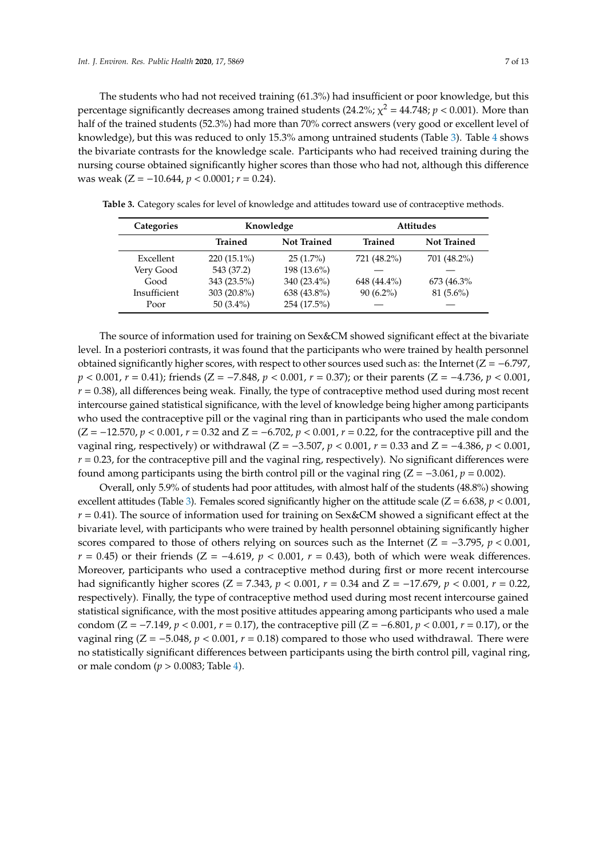The students who had not received training (61.3%) had insufficient or poor knowledge, but this percentage significantly decreases among trained students (24.2%;  $\chi^2$  = 44.748;  $p$  < 0.001). More than half of the trained students (52.3%) had more than 70% correct answers (very good or excellent level of knowledge), but this was reduced to only 15.3% among untrained students (Table [3\)](#page-6-0). Table [4](#page-7-0) shows the bivariate contrasts for the knowledge scale. Participants who had received training during the nursing course obtained significantly higher scores than those who had not, although this difference was weak (Z = −10.644, *p* < 0.0001; *r* = 0.24).

| Categories   | Knowledge      |                    | <b>Attitudes</b> |                    |  |
|--------------|----------------|--------------------|------------------|--------------------|--|
|              | <b>Trained</b> | <b>Not Trained</b> | <b>Trained</b>   | <b>Not Trained</b> |  |
| Excellent    | $220(15.1\%)$  | $25(1.7\%)$        | 721 (48.2%)      | 701 (48.2%)        |  |
| Very Good    | 543 (37.2)     | 198 (13.6%)        |                  |                    |  |
| Good         | 343 (23.5%)    | 340 (23.4%)        | 648 (44.4%)      | 673 (46.3%)        |  |
| Insufficient | 303 (20.8%)    | 638 (43.8%)        | $90(6.2\%)$      | $81(5.6\%)$        |  |
| Poor         | 50 $(3.4\%)$   | 254 (17.5%)        |                  |                    |  |

<span id="page-6-0"></span>**Table 3.** Category scales for level of knowledge and attitudes toward use of contraceptive methods.

The source of information used for training on Sex&CM showed significant effect at the bivariate level. In a posteriori contrasts, it was found that the participants who were trained by health personnel obtained significantly higher scores, with respect to other sources used such as: the Internet ( $Z = -6.797$ , *p* < 0.001, *r* = 0.41); friends (*Z* = −7.848, *p* < 0.001, *r* = 0.37); or their parents (*Z* = −4.736, *p* < 0.001,  $r = 0.38$ ), all differences being weak. Finally, the type of contraceptive method used during most recent intercourse gained statistical significance, with the level of knowledge being higher among participants who used the contraceptive pill or the vaginal ring than in participants who used the male condom (Z = −12.570, *p* < 0.001, *r* = 0.32 and Z = −6.702, *p* < 0.001, *r* = 0.22, for the contraceptive pill and the vaginal ring, respectively) or withdrawal (Z = −3.507, *p* < 0.001, *r* = 0.33 and Z = −4.386, *p* < 0.001,  $r = 0.23$ , for the contraceptive pill and the vaginal ring, respectively). No significant differences were found among participants using the birth control pill or the vaginal ring  $(Z = -3.061, p = 0.002)$ .

Overall, only 5.9% of students had poor attitudes, with almost half of the students (48.8%) showing excellent attitudes (Table [3\)](#page-6-0). Females scored significantly higher on the attitude scale ( $Z = 6.638$ ,  $p < 0.001$ ,  $r = 0.41$ ). The source of information used for training on Sex&CM showed a significant effect at the bivariate level, with participants who were trained by health personnel obtaining significantly higher scores compared to those of others relying on sources such as the Internet ( $Z = -3.795$ ,  $p < 0.001$ , *r* = 0.45) or their friends (*Z* = −4.619, *p* < 0.001, *r* = 0.43), both of which were weak differences. Moreover, participants who used a contraceptive method during first or more recent intercourse had significantly higher scores (Z = 7.343, *p* < 0.001, *r* = 0.34 and Z = −17.679, *p* < 0.001, *r* = 0.22, respectively). Finally, the type of contraceptive method used during most recent intercourse gained statistical significance, with the most positive attitudes appearing among participants who used a male condom (Z = −7.149, *p* < 0.001, *r* = 0.17), the contraceptive pill (Z = −6.801, *p* < 0.001, *r* = 0.17), or the vaginal ring (Z = −5.048, *p* < 0.001, *r* = 0.18) compared to those who used withdrawal. There were no statistically significant differences between participants using the birth control pill, vaginal ring, or male condom (*p* > 0.0083; Table [4\)](#page-7-0).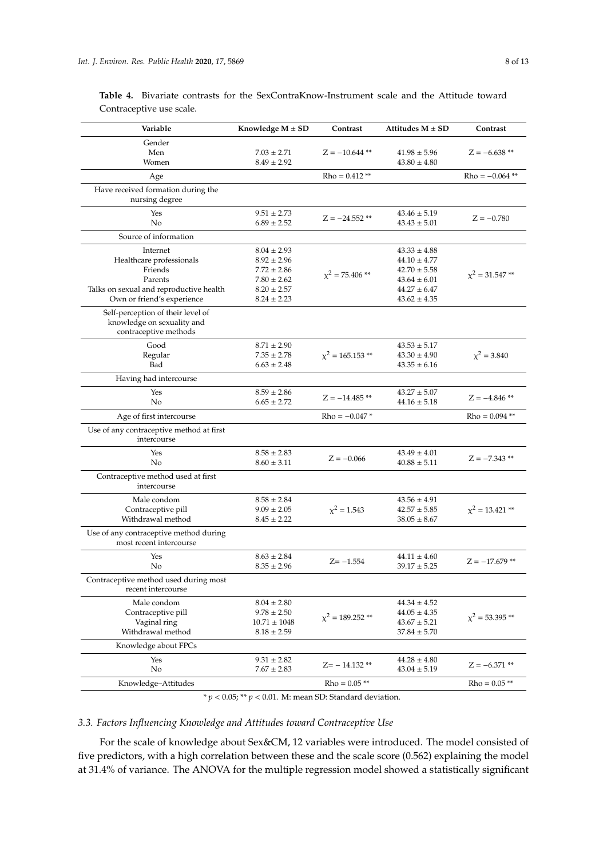| Gender<br>Men<br>$7.03 \pm 2.71$<br>$Z = -10.644$ **<br>$41.98 \pm 5.96$<br>$Z = -6.638**$<br>Women<br>$8.49 \pm 2.92$<br>$43.80 \pm 4.80$<br>$Rho = 0.412$ **<br>$Rho = -0.064$ **<br>Age<br>Have received formation during the<br>nursing degree<br>Yes<br>$43.46 \pm 5.19$<br>$9.51 \pm 2.73$<br>$Z = -24.552$ **<br>$Z = -0.780$<br>No<br>$6.89 \pm 2.52$<br>$43.43 \pm 5.01$<br>Source of information<br>Internet<br>$43.33 \pm 4.88$<br>$8.04 \pm 2.93$<br>Healthcare professionals<br>$8.92 \pm 2.96$<br>$44.10 \pm 4.77$<br>Friends<br>$7.72 \pm 2.86$<br>$42.70 \pm 5.58$<br>$\chi^2$ = 75.406 **<br>$\chi^2$ = 31.547**<br>$7.80 \pm 2.62$<br>$43.64 \pm 6.01$<br>Parents<br>Talks on sexual and reproductive health<br>$44.27 \pm 6.47$<br>$8.20 \pm 2.57$<br>Own or friend's experience<br>$8.24 \pm 2.23$<br>$43.62 \pm 4.35$<br>Self-perception of their level of<br>knowledge on sexuality and<br>contraceptive methods<br>Good<br>$8.71 \pm 2.90$<br>$43.53 \pm 5.17$<br>$x^2 = 165.153$ **<br>$x^2 = 3.840$<br>$7.35 \pm 2.78$<br>$43.30 \pm 4.90$<br>Regular<br>Bad<br>$6.63 \pm 2.48$<br>$43.35 \pm 6.16$<br>Having had intercourse<br>Yes<br>$8.59 \pm 2.86$<br>$43.27 \pm 5.07$<br>$Z = -14.485$ **<br>$Z = -4.846$ **<br>No<br>$6.65 \pm 2.72$<br>$44.16 \pm 5.18$<br>$Rho = -0.047*$<br>Age of first intercourse<br>$Rho = 0.094$ **<br>Use of any contraceptive method at first<br>intercourse<br>$8.58 \pm 2.83$<br>$43.49 \pm 4.01$<br>Yes<br>$Z = -0.066$<br>$Z = -7.343**$<br>No<br>$8.60 \pm 3.11$<br>$40.88 \pm 5.11$<br>Contraceptive method used at first<br>intercourse<br>Male condom<br>$8.58 \pm 2.84$<br>$43.56 \pm 4.91$<br>$x^2 = 1.543$<br>Contraceptive pill<br>$x^2 = 13.421$ **<br>$9.09 \pm 2.05$<br>$42.57 \pm 5.85$<br>Withdrawal method<br>$8.45 \pm 2.22$<br>$38.05 \pm 8.67$<br>Use of any contraceptive method during<br>most recent intercourse<br>Yes<br>$8.63 \pm 2.84$<br>$44.11 \pm 4.60$<br>$Z = -1.554$<br>$Z = -17.679$ **<br>No<br>$8.35 \pm 2.96$<br>$39.17 \pm 5.25$<br>Contraceptive method used during most<br>recent intercourse<br>Male condom<br>$8.04 \pm 2.80$<br>$44.34 \pm 4.52$<br>Contraceptive pill<br>$9.78 \pm 2.50$<br>$44.05 \pm 4.35$<br>$\chi^2 = 189.252$ **<br>$\chi^2 = 53.395$ **<br>Vaginal ring<br>$10.71 \pm 1048$<br>$43.67 \pm 5.21$<br>Withdrawal method<br>$8.18 \pm 2.59$<br>$37.84 \pm 5.70$<br>Knowledge about FPCs<br>Yes<br>$9.31 \pm 2.82$<br>$44.28 \pm 4.80$<br>$Z = -6.371$ **<br>$Z = -14.132$ **<br>No<br>$7.67 \pm 2.83$<br>$43.04 \pm 5.19$<br>$Rho = 0.05$ **<br>Knowledge-Attitudes<br>$Rho = 0.05$ ** | Variable | Knowledge $M \pm SD$ | Contrast | Attitudes $M \pm SD$ | Contrast |
|-----------------------------------------------------------------------------------------------------------------------------------------------------------------------------------------------------------------------------------------------------------------------------------------------------------------------------------------------------------------------------------------------------------------------------------------------------------------------------------------------------------------------------------------------------------------------------------------------------------------------------------------------------------------------------------------------------------------------------------------------------------------------------------------------------------------------------------------------------------------------------------------------------------------------------------------------------------------------------------------------------------------------------------------------------------------------------------------------------------------------------------------------------------------------------------------------------------------------------------------------------------------------------------------------------------------------------------------------------------------------------------------------------------------------------------------------------------------------------------------------------------------------------------------------------------------------------------------------------------------------------------------------------------------------------------------------------------------------------------------------------------------------------------------------------------------------------------------------------------------------------------------------------------------------------------------------------------------------------------------------------------------------------------------------------------------------------------------------------------------------------------------------------------------------------------------------------------------------------------------------------------------------------------------------------------------------------------------------------------------------------------------------------------------------------------------------------------------------------------------------------------------------------------------------------------------------------------------------------------------|----------|----------------------|----------|----------------------|----------|
|                                                                                                                                                                                                                                                                                                                                                                                                                                                                                                                                                                                                                                                                                                                                                                                                                                                                                                                                                                                                                                                                                                                                                                                                                                                                                                                                                                                                                                                                                                                                                                                                                                                                                                                                                                                                                                                                                                                                                                                                                                                                                                                                                                                                                                                                                                                                                                                                                                                                                                                                                                                                                 |          |                      |          |                      |          |
|                                                                                                                                                                                                                                                                                                                                                                                                                                                                                                                                                                                                                                                                                                                                                                                                                                                                                                                                                                                                                                                                                                                                                                                                                                                                                                                                                                                                                                                                                                                                                                                                                                                                                                                                                                                                                                                                                                                                                                                                                                                                                                                                                                                                                                                                                                                                                                                                                                                                                                                                                                                                                 |          |                      |          |                      |          |
|                                                                                                                                                                                                                                                                                                                                                                                                                                                                                                                                                                                                                                                                                                                                                                                                                                                                                                                                                                                                                                                                                                                                                                                                                                                                                                                                                                                                                                                                                                                                                                                                                                                                                                                                                                                                                                                                                                                                                                                                                                                                                                                                                                                                                                                                                                                                                                                                                                                                                                                                                                                                                 |          |                      |          |                      |          |
|                                                                                                                                                                                                                                                                                                                                                                                                                                                                                                                                                                                                                                                                                                                                                                                                                                                                                                                                                                                                                                                                                                                                                                                                                                                                                                                                                                                                                                                                                                                                                                                                                                                                                                                                                                                                                                                                                                                                                                                                                                                                                                                                                                                                                                                                                                                                                                                                                                                                                                                                                                                                                 |          |                      |          |                      |          |
|                                                                                                                                                                                                                                                                                                                                                                                                                                                                                                                                                                                                                                                                                                                                                                                                                                                                                                                                                                                                                                                                                                                                                                                                                                                                                                                                                                                                                                                                                                                                                                                                                                                                                                                                                                                                                                                                                                                                                                                                                                                                                                                                                                                                                                                                                                                                                                                                                                                                                                                                                                                                                 |          |                      |          |                      |          |
|                                                                                                                                                                                                                                                                                                                                                                                                                                                                                                                                                                                                                                                                                                                                                                                                                                                                                                                                                                                                                                                                                                                                                                                                                                                                                                                                                                                                                                                                                                                                                                                                                                                                                                                                                                                                                                                                                                                                                                                                                                                                                                                                                                                                                                                                                                                                                                                                                                                                                                                                                                                                                 |          |                      |          |                      |          |
|                                                                                                                                                                                                                                                                                                                                                                                                                                                                                                                                                                                                                                                                                                                                                                                                                                                                                                                                                                                                                                                                                                                                                                                                                                                                                                                                                                                                                                                                                                                                                                                                                                                                                                                                                                                                                                                                                                                                                                                                                                                                                                                                                                                                                                                                                                                                                                                                                                                                                                                                                                                                                 |          |                      |          |                      |          |
|                                                                                                                                                                                                                                                                                                                                                                                                                                                                                                                                                                                                                                                                                                                                                                                                                                                                                                                                                                                                                                                                                                                                                                                                                                                                                                                                                                                                                                                                                                                                                                                                                                                                                                                                                                                                                                                                                                                                                                                                                                                                                                                                                                                                                                                                                                                                                                                                                                                                                                                                                                                                                 |          |                      |          |                      |          |
|                                                                                                                                                                                                                                                                                                                                                                                                                                                                                                                                                                                                                                                                                                                                                                                                                                                                                                                                                                                                                                                                                                                                                                                                                                                                                                                                                                                                                                                                                                                                                                                                                                                                                                                                                                                                                                                                                                                                                                                                                                                                                                                                                                                                                                                                                                                                                                                                                                                                                                                                                                                                                 |          |                      |          |                      |          |
|                                                                                                                                                                                                                                                                                                                                                                                                                                                                                                                                                                                                                                                                                                                                                                                                                                                                                                                                                                                                                                                                                                                                                                                                                                                                                                                                                                                                                                                                                                                                                                                                                                                                                                                                                                                                                                                                                                                                                                                                                                                                                                                                                                                                                                                                                                                                                                                                                                                                                                                                                                                                                 |          |                      |          |                      |          |
|                                                                                                                                                                                                                                                                                                                                                                                                                                                                                                                                                                                                                                                                                                                                                                                                                                                                                                                                                                                                                                                                                                                                                                                                                                                                                                                                                                                                                                                                                                                                                                                                                                                                                                                                                                                                                                                                                                                                                                                                                                                                                                                                                                                                                                                                                                                                                                                                                                                                                                                                                                                                                 |          |                      |          |                      |          |
|                                                                                                                                                                                                                                                                                                                                                                                                                                                                                                                                                                                                                                                                                                                                                                                                                                                                                                                                                                                                                                                                                                                                                                                                                                                                                                                                                                                                                                                                                                                                                                                                                                                                                                                                                                                                                                                                                                                                                                                                                                                                                                                                                                                                                                                                                                                                                                                                                                                                                                                                                                                                                 |          |                      |          |                      |          |
|                                                                                                                                                                                                                                                                                                                                                                                                                                                                                                                                                                                                                                                                                                                                                                                                                                                                                                                                                                                                                                                                                                                                                                                                                                                                                                                                                                                                                                                                                                                                                                                                                                                                                                                                                                                                                                                                                                                                                                                                                                                                                                                                                                                                                                                                                                                                                                                                                                                                                                                                                                                                                 |          |                      |          |                      |          |
|                                                                                                                                                                                                                                                                                                                                                                                                                                                                                                                                                                                                                                                                                                                                                                                                                                                                                                                                                                                                                                                                                                                                                                                                                                                                                                                                                                                                                                                                                                                                                                                                                                                                                                                                                                                                                                                                                                                                                                                                                                                                                                                                                                                                                                                                                                                                                                                                                                                                                                                                                                                                                 |          |                      |          |                      |          |
|                                                                                                                                                                                                                                                                                                                                                                                                                                                                                                                                                                                                                                                                                                                                                                                                                                                                                                                                                                                                                                                                                                                                                                                                                                                                                                                                                                                                                                                                                                                                                                                                                                                                                                                                                                                                                                                                                                                                                                                                                                                                                                                                                                                                                                                                                                                                                                                                                                                                                                                                                                                                                 |          |                      |          |                      |          |
|                                                                                                                                                                                                                                                                                                                                                                                                                                                                                                                                                                                                                                                                                                                                                                                                                                                                                                                                                                                                                                                                                                                                                                                                                                                                                                                                                                                                                                                                                                                                                                                                                                                                                                                                                                                                                                                                                                                                                                                                                                                                                                                                                                                                                                                                                                                                                                                                                                                                                                                                                                                                                 |          |                      |          |                      |          |
|                                                                                                                                                                                                                                                                                                                                                                                                                                                                                                                                                                                                                                                                                                                                                                                                                                                                                                                                                                                                                                                                                                                                                                                                                                                                                                                                                                                                                                                                                                                                                                                                                                                                                                                                                                                                                                                                                                                                                                                                                                                                                                                                                                                                                                                                                                                                                                                                                                                                                                                                                                                                                 |          |                      |          |                      |          |
|                                                                                                                                                                                                                                                                                                                                                                                                                                                                                                                                                                                                                                                                                                                                                                                                                                                                                                                                                                                                                                                                                                                                                                                                                                                                                                                                                                                                                                                                                                                                                                                                                                                                                                                                                                                                                                                                                                                                                                                                                                                                                                                                                                                                                                                                                                                                                                                                                                                                                                                                                                                                                 |          |                      |          |                      |          |
|                                                                                                                                                                                                                                                                                                                                                                                                                                                                                                                                                                                                                                                                                                                                                                                                                                                                                                                                                                                                                                                                                                                                                                                                                                                                                                                                                                                                                                                                                                                                                                                                                                                                                                                                                                                                                                                                                                                                                                                                                                                                                                                                                                                                                                                                                                                                                                                                                                                                                                                                                                                                                 |          |                      |          |                      |          |
|                                                                                                                                                                                                                                                                                                                                                                                                                                                                                                                                                                                                                                                                                                                                                                                                                                                                                                                                                                                                                                                                                                                                                                                                                                                                                                                                                                                                                                                                                                                                                                                                                                                                                                                                                                                                                                                                                                                                                                                                                                                                                                                                                                                                                                                                                                                                                                                                                                                                                                                                                                                                                 |          |                      |          |                      |          |
|                                                                                                                                                                                                                                                                                                                                                                                                                                                                                                                                                                                                                                                                                                                                                                                                                                                                                                                                                                                                                                                                                                                                                                                                                                                                                                                                                                                                                                                                                                                                                                                                                                                                                                                                                                                                                                                                                                                                                                                                                                                                                                                                                                                                                                                                                                                                                                                                                                                                                                                                                                                                                 |          |                      |          |                      |          |
|                                                                                                                                                                                                                                                                                                                                                                                                                                                                                                                                                                                                                                                                                                                                                                                                                                                                                                                                                                                                                                                                                                                                                                                                                                                                                                                                                                                                                                                                                                                                                                                                                                                                                                                                                                                                                                                                                                                                                                                                                                                                                                                                                                                                                                                                                                                                                                                                                                                                                                                                                                                                                 |          |                      |          |                      |          |
|                                                                                                                                                                                                                                                                                                                                                                                                                                                                                                                                                                                                                                                                                                                                                                                                                                                                                                                                                                                                                                                                                                                                                                                                                                                                                                                                                                                                                                                                                                                                                                                                                                                                                                                                                                                                                                                                                                                                                                                                                                                                                                                                                                                                                                                                                                                                                                                                                                                                                                                                                                                                                 |          |                      |          |                      |          |
|                                                                                                                                                                                                                                                                                                                                                                                                                                                                                                                                                                                                                                                                                                                                                                                                                                                                                                                                                                                                                                                                                                                                                                                                                                                                                                                                                                                                                                                                                                                                                                                                                                                                                                                                                                                                                                                                                                                                                                                                                                                                                                                                                                                                                                                                                                                                                                                                                                                                                                                                                                                                                 |          |                      |          |                      |          |
|                                                                                                                                                                                                                                                                                                                                                                                                                                                                                                                                                                                                                                                                                                                                                                                                                                                                                                                                                                                                                                                                                                                                                                                                                                                                                                                                                                                                                                                                                                                                                                                                                                                                                                                                                                                                                                                                                                                                                                                                                                                                                                                                                                                                                                                                                                                                                                                                                                                                                                                                                                                                                 |          |                      |          |                      |          |
|                                                                                                                                                                                                                                                                                                                                                                                                                                                                                                                                                                                                                                                                                                                                                                                                                                                                                                                                                                                                                                                                                                                                                                                                                                                                                                                                                                                                                                                                                                                                                                                                                                                                                                                                                                                                                                                                                                                                                                                                                                                                                                                                                                                                                                                                                                                                                                                                                                                                                                                                                                                                                 |          |                      |          |                      |          |
|                                                                                                                                                                                                                                                                                                                                                                                                                                                                                                                                                                                                                                                                                                                                                                                                                                                                                                                                                                                                                                                                                                                                                                                                                                                                                                                                                                                                                                                                                                                                                                                                                                                                                                                                                                                                                                                                                                                                                                                                                                                                                                                                                                                                                                                                                                                                                                                                                                                                                                                                                                                                                 |          |                      |          |                      |          |
|                                                                                                                                                                                                                                                                                                                                                                                                                                                                                                                                                                                                                                                                                                                                                                                                                                                                                                                                                                                                                                                                                                                                                                                                                                                                                                                                                                                                                                                                                                                                                                                                                                                                                                                                                                                                                                                                                                                                                                                                                                                                                                                                                                                                                                                                                                                                                                                                                                                                                                                                                                                                                 |          |                      |          |                      |          |
|                                                                                                                                                                                                                                                                                                                                                                                                                                                                                                                                                                                                                                                                                                                                                                                                                                                                                                                                                                                                                                                                                                                                                                                                                                                                                                                                                                                                                                                                                                                                                                                                                                                                                                                                                                                                                                                                                                                                                                                                                                                                                                                                                                                                                                                                                                                                                                                                                                                                                                                                                                                                                 |          |                      |          |                      |          |
|                                                                                                                                                                                                                                                                                                                                                                                                                                                                                                                                                                                                                                                                                                                                                                                                                                                                                                                                                                                                                                                                                                                                                                                                                                                                                                                                                                                                                                                                                                                                                                                                                                                                                                                                                                                                                                                                                                                                                                                                                                                                                                                                                                                                                                                                                                                                                                                                                                                                                                                                                                                                                 |          |                      |          |                      |          |
|                                                                                                                                                                                                                                                                                                                                                                                                                                                                                                                                                                                                                                                                                                                                                                                                                                                                                                                                                                                                                                                                                                                                                                                                                                                                                                                                                                                                                                                                                                                                                                                                                                                                                                                                                                                                                                                                                                                                                                                                                                                                                                                                                                                                                                                                                                                                                                                                                                                                                                                                                                                                                 |          |                      |          |                      |          |
|                                                                                                                                                                                                                                                                                                                                                                                                                                                                                                                                                                                                                                                                                                                                                                                                                                                                                                                                                                                                                                                                                                                                                                                                                                                                                                                                                                                                                                                                                                                                                                                                                                                                                                                                                                                                                                                                                                                                                                                                                                                                                                                                                                                                                                                                                                                                                                                                                                                                                                                                                                                                                 |          |                      |          |                      |          |
|                                                                                                                                                                                                                                                                                                                                                                                                                                                                                                                                                                                                                                                                                                                                                                                                                                                                                                                                                                                                                                                                                                                                                                                                                                                                                                                                                                                                                                                                                                                                                                                                                                                                                                                                                                                                                                                                                                                                                                                                                                                                                                                                                                                                                                                                                                                                                                                                                                                                                                                                                                                                                 |          |                      |          |                      |          |
|                                                                                                                                                                                                                                                                                                                                                                                                                                                                                                                                                                                                                                                                                                                                                                                                                                                                                                                                                                                                                                                                                                                                                                                                                                                                                                                                                                                                                                                                                                                                                                                                                                                                                                                                                                                                                                                                                                                                                                                                                                                                                                                                                                                                                                                                                                                                                                                                                                                                                                                                                                                                                 |          |                      |          |                      |          |
|                                                                                                                                                                                                                                                                                                                                                                                                                                                                                                                                                                                                                                                                                                                                                                                                                                                                                                                                                                                                                                                                                                                                                                                                                                                                                                                                                                                                                                                                                                                                                                                                                                                                                                                                                                                                                                                                                                                                                                                                                                                                                                                                                                                                                                                                                                                                                                                                                                                                                                                                                                                                                 |          |                      |          |                      |          |
|                                                                                                                                                                                                                                                                                                                                                                                                                                                                                                                                                                                                                                                                                                                                                                                                                                                                                                                                                                                                                                                                                                                                                                                                                                                                                                                                                                                                                                                                                                                                                                                                                                                                                                                                                                                                                                                                                                                                                                                                                                                                                                                                                                                                                                                                                                                                                                                                                                                                                                                                                                                                                 |          |                      |          |                      |          |
|                                                                                                                                                                                                                                                                                                                                                                                                                                                                                                                                                                                                                                                                                                                                                                                                                                                                                                                                                                                                                                                                                                                                                                                                                                                                                                                                                                                                                                                                                                                                                                                                                                                                                                                                                                                                                                                                                                                                                                                                                                                                                                                                                                                                                                                                                                                                                                                                                                                                                                                                                                                                                 |          |                      |          |                      |          |
|                                                                                                                                                                                                                                                                                                                                                                                                                                                                                                                                                                                                                                                                                                                                                                                                                                                                                                                                                                                                                                                                                                                                                                                                                                                                                                                                                                                                                                                                                                                                                                                                                                                                                                                                                                                                                                                                                                                                                                                                                                                                                                                                                                                                                                                                                                                                                                                                                                                                                                                                                                                                                 |          |                      |          |                      |          |
|                                                                                                                                                                                                                                                                                                                                                                                                                                                                                                                                                                                                                                                                                                                                                                                                                                                                                                                                                                                                                                                                                                                                                                                                                                                                                                                                                                                                                                                                                                                                                                                                                                                                                                                                                                                                                                                                                                                                                                                                                                                                                                                                                                                                                                                                                                                                                                                                                                                                                                                                                                                                                 |          |                      |          |                      |          |
|                                                                                                                                                                                                                                                                                                                                                                                                                                                                                                                                                                                                                                                                                                                                                                                                                                                                                                                                                                                                                                                                                                                                                                                                                                                                                                                                                                                                                                                                                                                                                                                                                                                                                                                                                                                                                                                                                                                                                                                                                                                                                                                                                                                                                                                                                                                                                                                                                                                                                                                                                                                                                 |          |                      |          |                      |          |
|                                                                                                                                                                                                                                                                                                                                                                                                                                                                                                                                                                                                                                                                                                                                                                                                                                                                                                                                                                                                                                                                                                                                                                                                                                                                                                                                                                                                                                                                                                                                                                                                                                                                                                                                                                                                                                                                                                                                                                                                                                                                                                                                                                                                                                                                                                                                                                                                                                                                                                                                                                                                                 |          |                      |          |                      |          |
|                                                                                                                                                                                                                                                                                                                                                                                                                                                                                                                                                                                                                                                                                                                                                                                                                                                                                                                                                                                                                                                                                                                                                                                                                                                                                                                                                                                                                                                                                                                                                                                                                                                                                                                                                                                                                                                                                                                                                                                                                                                                                                                                                                                                                                                                                                                                                                                                                                                                                                                                                                                                                 |          |                      |          |                      |          |

<span id="page-7-0"></span>**Table 4.** Bivariate contrasts for the SexContraKnow-Instrument scale and the Attitude toward Contraceptive use scale.

 $* p < 0.05$ ; \*\*  $p < 0.01$ . M: mean SD: Standard deviation.

# *3.3. Factors Influencing Knowledge and Attitudes toward Contraceptive Use*

For the scale of knowledge about Sex&CM, 12 variables were introduced. The model consisted of five predictors, with a high correlation between these and the scale score (0.562) explaining the model at 31.4% of variance. The ANOVA for the multiple regression model showed a statistically significant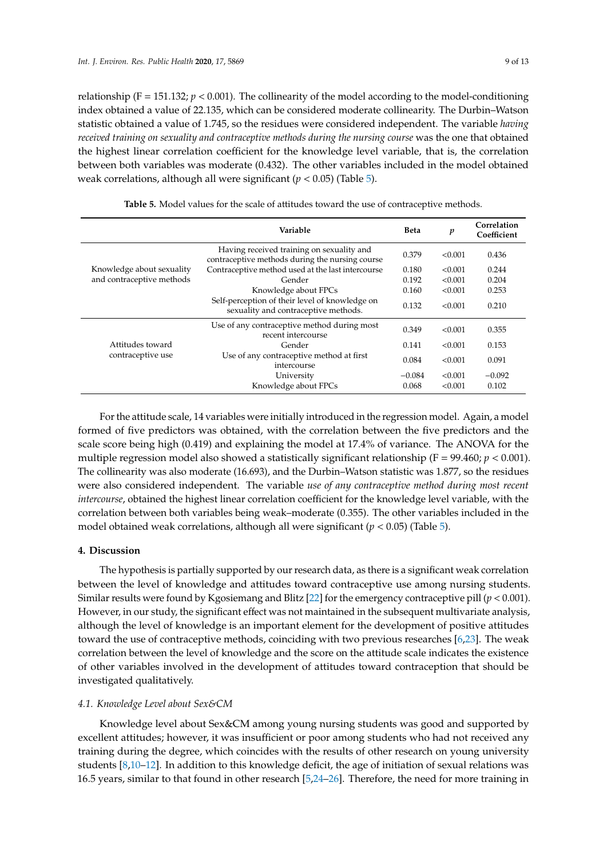relationship ( $F = 151.132$ ;  $p < 0.001$ ). The collinearity of the model according to the model-conditioning index obtained a value of 22.135, which can be considered moderate collinearity. The Durbin–Watson statistic obtained a value of 1.745, so the residues were considered independent. The variable *having received training on sexuality and contraceptive methods during the nursing course* was the one that obtained the highest linear correlation coefficient for the knowledge level variable, that is, the correlation between both variables was moderate (0.432). The other variables included in the model obtained weak correlations, although all were significant (*p* < 0.05) (Table [5\)](#page-8-0).

<span id="page-8-0"></span>

|                                                        | Variable                                                                                     | <b>Beta</b> | p       | Correlation<br>Coefficient |
|--------------------------------------------------------|----------------------------------------------------------------------------------------------|-------------|---------|----------------------------|
| Knowledge about sexuality<br>and contraceptive methods | Having received training on sexuality and<br>contraceptive methods during the nursing course | 0.379       | < 0.001 | 0.436                      |
|                                                        | Contraceptive method used at the last intercourse                                            | 0.180       | < 0.001 | 0.244                      |
|                                                        | Gender                                                                                       | 0.192       | < 0.001 | 0.204                      |
|                                                        | Knowledge about FPCs                                                                         | 0.160       | < 0.001 | 0.253                      |
|                                                        | Self-perception of their level of knowledge on<br>sexuality and contraceptive methods.       | 0.132       | < 0.001 | 0.210                      |
|                                                        | Use of any contraceptive method during most<br>recent intercourse                            | 0.349       | < 0.001 | 0.355                      |
| Attitudes toward<br>contraceptive use                  | Gender                                                                                       | 0.141       | < 0.001 | 0.153                      |
|                                                        | Use of any contraceptive method at first<br>intercourse                                      | 0.084       | < 0.001 | 0.091                      |
|                                                        | University                                                                                   | $-0.084$    | < 0.001 | $-0.092$                   |
|                                                        | Knowledge about FPCs                                                                         | 0.068       | < 0.001 | 0.102                      |

**Table 5.** Model values for the scale of attitudes toward the use of contraceptive methods.

For the attitude scale, 14 variables were initially introduced in the regression model. Again, a model formed of five predictors was obtained, with the correlation between the five predictors and the scale score being high (0.419) and explaining the model at 17.4% of variance. The ANOVA for the multiple regression model also showed a statistically significant relationship ( $F = 99.460; p < 0.001$ ). The collinearity was also moderate (16.693), and the Durbin–Watson statistic was 1.877, so the residues were also considered independent. The variable *use of any contraceptive method during most recent intercourse*, obtained the highest linear correlation coefficient for the knowledge level variable, with the correlation between both variables being weak–moderate (0.355). The other variables included in the model obtained weak correlations, although all were significant (*p* < 0.05) (Table [5\)](#page-8-0).

# **4. Discussion**

The hypothesis is partially supported by our research data, as there is a significant weak correlation between the level of knowledge and attitudes toward contraceptive use among nursing students. Similar results were found by Kgosiemang and Blitz [\[22\]](#page-12-0) for the emergency contraceptive pill (*p* < 0.001). However, in our study, the significant effect was not maintained in the subsequent multivariate analysis, although the level of knowledge is an important element for the development of positive attitudes toward the use of contraceptive methods, coinciding with two previous researches [\[6](#page-11-5)[,23\]](#page-12-1). The weak correlation between the level of knowledge and the score on the attitude scale indicates the existence of other variables involved in the development of attitudes toward contraception that should be investigated qualitatively.

#### *4.1. Knowledge Level about Sex&CM*

Knowledge level about Sex&CM among young nursing students was good and supported by excellent attitudes; however, it was insufficient or poor among students who had not received any training during the degree, which coincides with the results of other research on young university students [\[8](#page-11-7)[,10–](#page-11-19)[12\]](#page-11-8). In addition to this knowledge deficit, the age of initiation of sexual relations was 16.5 years, similar to that found in other research [\[5](#page-11-4)[,24](#page-12-2)[–26\]](#page-12-3). Therefore, the need for more training in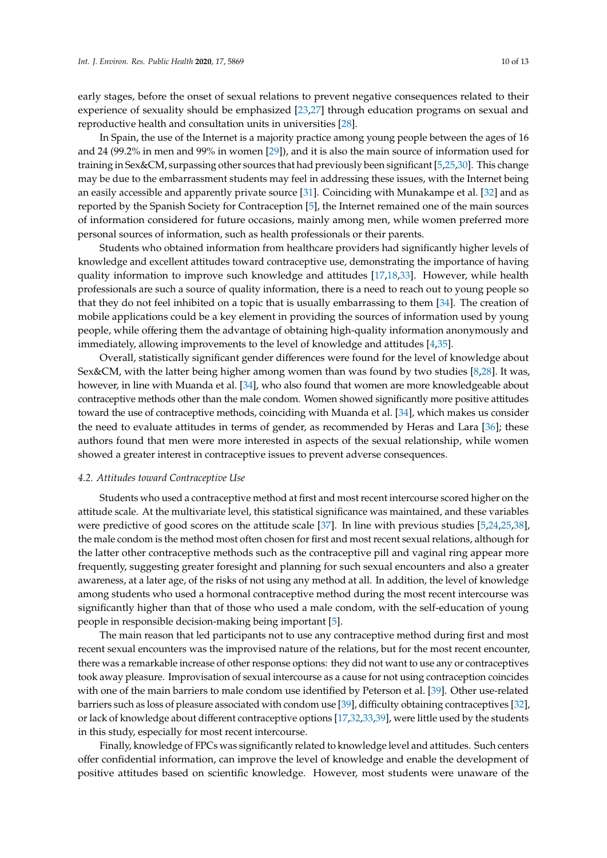early stages, before the onset of sexual relations to prevent negative consequences related to their experience of sexuality should be emphasized [\[23](#page-12-1)[,27\]](#page-12-4) through education programs on sexual and reproductive health and consultation units in universities [\[28\]](#page-12-5).

In Spain, the use of the Internet is a majority practice among young people between the ages of 16 and 24 (99.2% in men and 99% in women [\[29\]](#page-12-6)), and it is also the main source of information used for training in Sex&CM, surpassing other sources that had previously been significant [\[5](#page-11-4)[,25](#page-12-7)[,30\]](#page-12-8). This change may be due to the embarrassment students may feel in addressing these issues, with the Internet being an easily accessible and apparently private source [\[31\]](#page-12-9). Coinciding with Munakampe et al. [\[32\]](#page-12-10) and as reported by the Spanish Society for Contraception [\[5\]](#page-11-4), the Internet remained one of the main sources of information considered for future occasions, mainly among men, while women preferred more personal sources of information, such as health professionals or their parents.

Students who obtained information from healthcare providers had significantly higher levels of knowledge and excellent attitudes toward contraceptive use, demonstrating the importance of having quality information to improve such knowledge and attitudes [\[17](#page-11-13)[,18](#page-11-14)[,33\]](#page-12-11). However, while health professionals are such a source of quality information, there is a need to reach out to young people so that they do not feel inhibited on a topic that is usually embarrassing to them [\[34\]](#page-12-12). The creation of mobile applications could be a key element in providing the sources of information used by young people, while offering them the advantage of obtaining high-quality information anonymously and immediately, allowing improvements to the level of knowledge and attitudes [\[4,](#page-11-3)[35\]](#page-12-13).

Overall, statistically significant gender differences were found for the level of knowledge about Sex&CM, with the latter being higher among women than was found by two studies [\[8](#page-11-7)[,28\]](#page-12-5). It was, however, in line with Muanda et al. [\[34\]](#page-12-12), who also found that women are more knowledgeable about contraceptive methods other than the male condom. Women showed significantly more positive attitudes toward the use of contraceptive methods, coinciding with Muanda et al. [\[34\]](#page-12-12), which makes us consider the need to evaluate attitudes in terms of gender, as recommended by Heras and Lara [\[36\]](#page-12-14); these authors found that men were more interested in aspects of the sexual relationship, while women showed a greater interest in contraceptive issues to prevent adverse consequences.

### *4.2. Attitudes toward Contraceptive Use*

Students who used a contraceptive method at first and most recent intercourse scored higher on the attitude scale. At the multivariate level, this statistical significance was maintained, and these variables were predictive of good scores on the attitude scale [\[37\]](#page-12-15). In line with previous studies [\[5,](#page-11-4)[24,](#page-12-2)[25,](#page-12-7)[38\]](#page-12-16), the male condom is the method most often chosen for first and most recent sexual relations, although for the latter other contraceptive methods such as the contraceptive pill and vaginal ring appear more frequently, suggesting greater foresight and planning for such sexual encounters and also a greater awareness, at a later age, of the risks of not using any method at all. In addition, the level of knowledge among students who used a hormonal contraceptive method during the most recent intercourse was significantly higher than that of those who used a male condom, with the self-education of young people in responsible decision-making being important [\[5\]](#page-11-4).

The main reason that led participants not to use any contraceptive method during first and most recent sexual encounters was the improvised nature of the relations, but for the most recent encounter, there was a remarkable increase of other response options: they did not want to use any or contraceptives took away pleasure. Improvisation of sexual intercourse as a cause for not using contraception coincides with one of the main barriers to male condom use identified by Peterson et al. [\[39\]](#page-12-17). Other use-related barriers such as loss of pleasure associated with condom use [\[39\]](#page-12-17), difficulty obtaining contraceptives [\[32\]](#page-12-10), or lack of knowledge about different contraceptive options [\[17,](#page-11-13)[32,](#page-12-10)[33](#page-12-11)[,39\]](#page-12-17), were little used by the students in this study, especially for most recent intercourse.

Finally, knowledge of FPCs was significantly related to knowledge level and attitudes. Such centers offer confidential information, can improve the level of knowledge and enable the development of positive attitudes based on scientific knowledge. However, most students were unaware of the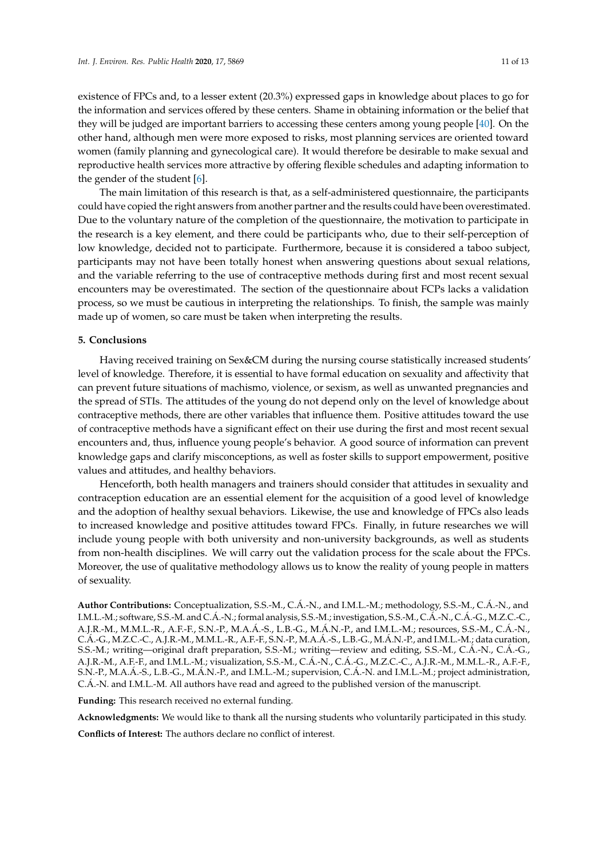existence of FPCs and, to a lesser extent (20.3%) expressed gaps in knowledge about places to go for the information and services offered by these centers. Shame in obtaining information or the belief that they will be judged are important barriers to accessing these centers among young people [\[40\]](#page-12-18). On the other hand, although men were more exposed to risks, most planning services are oriented toward women (family planning and gynecological care). It would therefore be desirable to make sexual and reproductive health services more attractive by offering flexible schedules and adapting information to the gender of the student [\[6\]](#page-11-5).

The main limitation of this research is that, as a self-administered questionnaire, the participants could have copied the right answers from another partner and the results could have been overestimated. Due to the voluntary nature of the completion of the questionnaire, the motivation to participate in the research is a key element, and there could be participants who, due to their self-perception of low knowledge, decided not to participate. Furthermore, because it is considered a taboo subject, participants may not have been totally honest when answering questions about sexual relations, and the variable referring to the use of contraceptive methods during first and most recent sexual encounters may be overestimated. The section of the questionnaire about FCPs lacks a validation process, so we must be cautious in interpreting the relationships. To finish, the sample was mainly made up of women, so care must be taken when interpreting the results.

# **5. Conclusions**

Having received training on Sex&CM during the nursing course statistically increased students' level of knowledge. Therefore, it is essential to have formal education on sexuality and affectivity that can prevent future situations of machismo, violence, or sexism, as well as unwanted pregnancies and the spread of STIs. The attitudes of the young do not depend only on the level of knowledge about contraceptive methods, there are other variables that influence them. Positive attitudes toward the use of contraceptive methods have a significant effect on their use during the first and most recent sexual encounters and, thus, influence young people's behavior. A good source of information can prevent knowledge gaps and clarify misconceptions, as well as foster skills to support empowerment, positive values and attitudes, and healthy behaviors.

Henceforth, both health managers and trainers should consider that attitudes in sexuality and contraception education are an essential element for the acquisition of a good level of knowledge and the adoption of healthy sexual behaviors. Likewise, the use and knowledge of FPCs also leads to increased knowledge and positive attitudes toward FPCs. Finally, in future researches we will include young people with both university and non-university backgrounds, as well as students from non-health disciplines. We will carry out the validation process for the scale about the FPCs. Moreover, the use of qualitative methodology allows us to know the reality of young people in matters of sexuality.

**Author Contributions:** Conceptualization, S.S.-M., C.Á.-N., and I.M.L.-M.; methodology, S.S.-M., C.Á.-N., and I.M.L.-M.; software, S.S.-M. and C.Á.-N.; formal analysis, S.S.-M.; investigation, S.S.-M., C.Á.-N., C.Á.-G., M.Z.C.-C., A.J.R.-M., M.M.L.-R., A.F.-F., S.N.-P., M.A.Á.-S., L.B.-G., M.Á.N.-P., and I.M.L.-M.; resources, S.S.-M., C.Á.-N., C.Á.-G., M.Z.C.-C., A.J.R.-M., M.M.L.-R., A.F.-F., S.N.-P., M.A.Á.-S., L.B.-G., M.Á.N.-P., and I.M.L.-M.; data curation, S.S.-M.; writing—original draft preparation, S.S.-M.; writing—review and editing, S.S.-M., C.Á.-N., C.Á.-G., A.J.R.-M., A.F.-F., and I.M.L.-M.; visualization, S.S.-M., C.Á.-N., C.Á.-G., M.Z.C.-C., A.J.R.-M., M.M.L.-R., A.F.-F., S.N.-P., M.A.Á.-S., L.B.-G., M.Á.N.-P., and I.M.L.-M.; supervision, C.Á.-N. and I.M.L.-M.; project administration, C.Á.-N. and I.M.L.-M. All authors have read and agreed to the published version of the manuscript.

**Funding:** This research received no external funding.

**Acknowledgments:** We would like to thank all the nursing students who voluntarily participated in this study.

**Conflicts of Interest:** The authors declare no conflict of interest.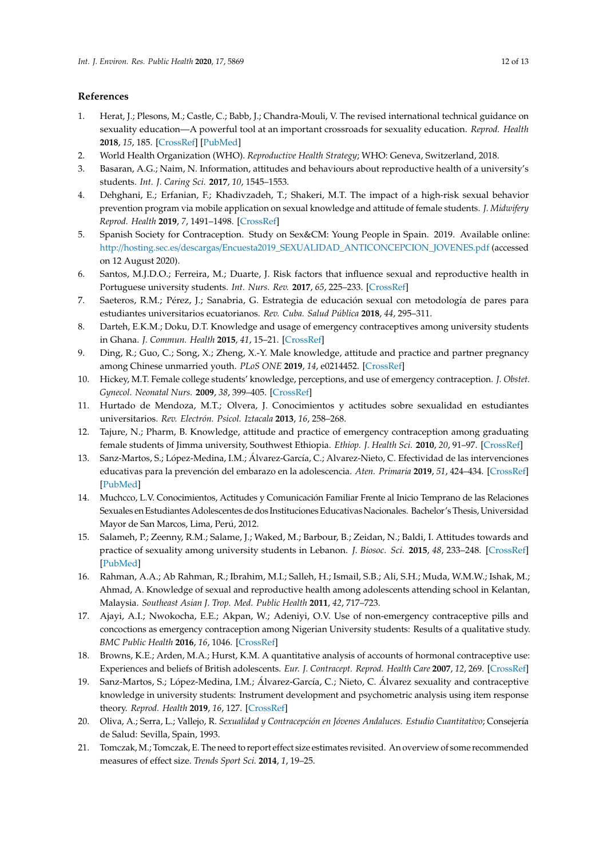# **References**

- <span id="page-11-0"></span>1. Herat, J.; Plesons, M.; Castle, C.; Babb, J.; Chandra-Mouli, V. The revised international technical guidance on sexuality education—A powerful tool at an important crossroads for sexuality education. *Reprod. Health* **2018**, *15*, 185. [\[CrossRef\]](http://dx.doi.org/10.1186/s12978-018-0629-x) [\[PubMed\]](http://www.ncbi.nlm.nih.gov/pubmed/30400902)
- <span id="page-11-1"></span>2. World Health Organization (WHO). *Reproductive Health Strategy*; WHO: Geneva, Switzerland, 2018.
- <span id="page-11-2"></span>3. Basaran, A.G.; Naim, N. Information, attitudes and behaviours about reproductive health of a university's students. *Int. J. Caring Sci.* **2017**, *10*, 1545–1553.
- <span id="page-11-3"></span>4. Dehghani, E.; Erfanian, F.; Khadivzadeh, T.; Shakeri, M.T. The impact of a high-risk sexual behavior prevention program via mobile application on sexual knowledge and attitude of female students. *J. Midwifery Reprod. Health* **2019**, *7*, 1491–1498. [\[CrossRef\]](http://dx.doi.org/10.22038/jmrh.2018.21382.1224)
- <span id="page-11-4"></span>5. Spanish Society for Contraception. Study on Sex&CM: Young People in Spain. 2019. Available online: http://hosting.sec.es/descargas/[Encuesta2019\\_SEXUALIDAD\\_ANTICONCEPCION\\_JOVENES.pdf](http://hosting.sec.es/descargas/Encuesta2019_SEXUALIDAD_ANTICONCEPCION_JOVENES.pdf) (accessed on 12 August 2020).
- <span id="page-11-5"></span>6. Santos, M.J.D.O.; Ferreira, M.; Duarte, J. Risk factors that influence sexual and reproductive health in Portuguese university students. *Int. Nurs. Rev.* **2017**, *65*, 225–233. [\[CrossRef\]](http://dx.doi.org/10.1111/inr.12387)
- <span id="page-11-6"></span>7. Saeteros, R.M.; Pérez, J.; Sanabria, G. Estrategia de educación sexual con metodología de pares para estudiantes universitarios ecuatorianos. *Rev. Cuba. Salud Pública* **2018**, *44*, 295–311.
- <span id="page-11-7"></span>8. Darteh, E.K.M.; Doku, D.T. Knowledge and usage of emergency contraceptives among university students in Ghana. *J. Commun. Health* **2015**, *41*, 15–21. [\[CrossRef\]](http://dx.doi.org/10.1007/s10900-015-0057-6)
- <span id="page-11-15"></span>9. Ding, R.; Guo, C.; Song, X.; Zheng, X.-Y. Male knowledge, attitude and practice and partner pregnancy among Chinese unmarried youth. *PLoS ONE* **2019**, *14*, e0214452. [\[CrossRef\]](http://dx.doi.org/10.1371/journal.pone.0214452)
- <span id="page-11-19"></span>10. Hickey, M.T. Female college students' knowledge, perceptions, and use of emergency contraception. *J. Obstet. Gynecol. Neonatal Nurs.* **2009**, *38*, 399–405. [\[CrossRef\]](http://dx.doi.org/10.1111/j.1552-6909.2009.01035.x)
- 11. Hurtado de Mendoza, M.T.; Olvera, J. Conocimientos y actitudes sobre sexualidad en estudiantes universitarios. *Rev. Electrón. Psicol. Iztacala* **2013**, *16*, 258–268.
- <span id="page-11-8"></span>12. Tajure, N.; Pharm, B. Knowledge, attitude and practice of emergency contraception among graduating female students of Jimma university, Southwest Ethiopia. *Ethiop. J. Health Sci.* **2010**, *20*, 91–97. [\[CrossRef\]](http://dx.doi.org/10.4314/ejhs.v20i2.69434)
- <span id="page-11-9"></span>13. Sanz-Martos, S.; López-Medina, I.M.; Álvarez-García, C.; Alvarez-Nieto, C. Efectividad de las intervenciones educativas para la prevención del embarazo en la adolescencia. *Aten. Primaria* **2019**, *51*, 424–434. [\[CrossRef\]](http://dx.doi.org/10.1016/j.aprim.2018.04.003) [\[PubMed\]](http://www.ncbi.nlm.nih.gov/pubmed/29903543)
- <span id="page-11-10"></span>14. Muchcco, L.V. Conocimientos, Actitudes y Comunicación Familiar Frente al Inicio Temprano de las Relaciones Sexuales en Estudiantes Adolescentes de dos Instituciones Educativas Nacionales. Bachelor's Thesis, Universidad Mayor de San Marcos, Lima, Perú, 2012.
- <span id="page-11-11"></span>15. Salameh, P.; Zeenny, R.M.; Salame, J.; Waked, M.; Barbour, B.; Zeidan, N.; Baldi, I. Attitudes towards and practice of sexuality among university students in Lebanon. *J. Biosoc. Sci.* **2015**, *48*, 233–248. [\[CrossRef\]](http://dx.doi.org/10.1017/S0021932015000139) [\[PubMed\]](http://www.ncbi.nlm.nih.gov/pubmed/26040203)
- <span id="page-11-12"></span>16. Rahman, A.A.; Ab Rahman, R.; Ibrahim, M.I.; Salleh, H.; Ismail, S.B.; Ali, S.H.; Muda, W.M.W.; Ishak, M.; Ahmad, A. Knowledge of sexual and reproductive health among adolescents attending school in Kelantan, Malaysia. *Southeast Asian J. Trop. Med. Public Health* **2011**, *42*, 717–723.
- <span id="page-11-13"></span>17. Ajayi, A.I.; Nwokocha, E.E.; Akpan, W.; Adeniyi, O.V. Use of non-emergency contraceptive pills and concoctions as emergency contraception among Nigerian University students: Results of a qualitative study. *BMC Public Health* **2016**, *16*, 1046. [\[CrossRef\]](http://dx.doi.org/10.1186/s12889-016-3707-4)
- <span id="page-11-14"></span>18. Browns, K.E.; Arden, M.A.; Hurst, K.M. A quantitative analysis of accounts of hormonal contraceptive use: Experiences and beliefs of British adolescents. *Eur. J. Contracept. Reprod. Health Care* **2007**, *12*, 269. [\[CrossRef\]](http://dx.doi.org/10.1080/13625180701440719)
- <span id="page-11-16"></span>19. Sanz-Martos, S.; López-Medina, I.M.; Álvarez-García, C.; Nieto, C. Álvarez sexuality and contraceptive knowledge in university students: Instrument development and psychometric analysis using item response theory. *Reprod. Health* **2019**, *16*, 127. [\[CrossRef\]](http://dx.doi.org/10.1186/s12978-019-0791-9)
- <span id="page-11-17"></span>20. Oliva, A.; Serra, L.; Vallejo, R. *Sexualidad y Contracepción en Jóvenes Andaluces. Estudio Cuantitativo*; Consejería de Salud: Sevilla, Spain, 1993.
- <span id="page-11-18"></span>21. Tomczak, M.; Tomczak, E. The need to report effect size estimates revisited. An overview of some recommended measures of effect size. *Trends Sport Sci.* **2014**, *1*, 19–25.